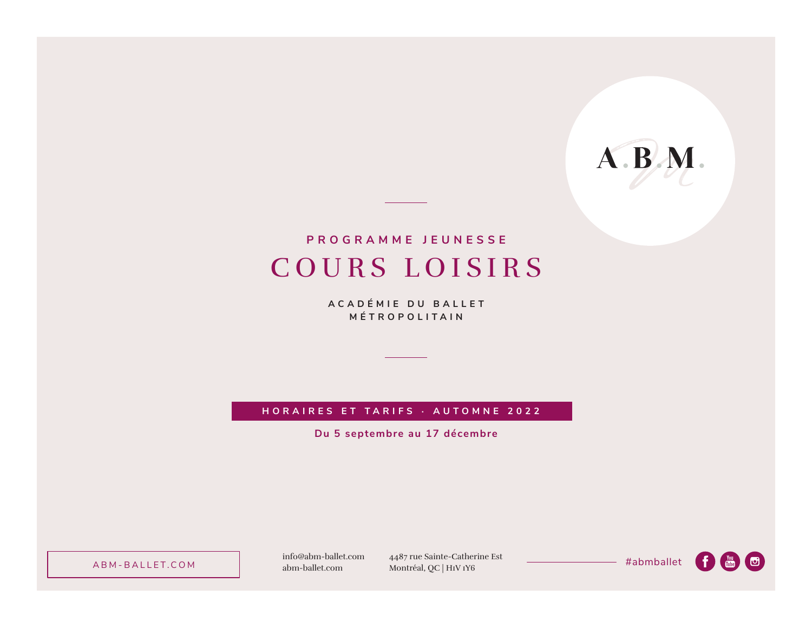# A.B.M.

### COURS LOISIRS **PROGRAMME JEUNESSE**

**ACADÉMIE DU BALLET MÉTROPOLITAIN**

**HORAIRES ET TARIFS · AUTOMNE 2022**

**Du 5 septembre au 17 décembre**

ABM-BALLET.COM abm-ballet.com

info@abm-ballet.com 4487 rue Sainte-Catherine Est 4487 rue Sainte-Catherine Est<br>Montréal, QC | H1V 1Y6

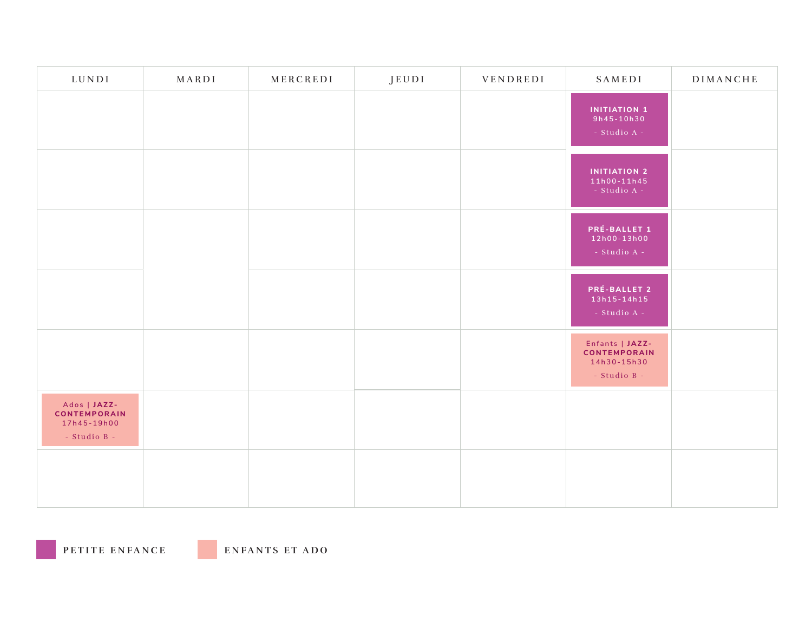| LUNDI                                                              | MARDI | MERCREDI | JEUDI | VENDREDI | SAMEDI                                                                    | DIMANCHE |
|--------------------------------------------------------------------|-------|----------|-------|----------|---------------------------------------------------------------------------|----------|
|                                                                    |       |          |       |          | <b>INITIATION 1</b><br>9h45-10h30<br>- Studio $A -$                       |          |
|                                                                    |       |          |       |          | <b>INITIATION 2</b><br>$11h00 - 11h45$<br>- Studio A - $\,$               |          |
|                                                                    |       |          |       |          | PRÉ-BALLET 1<br>12h00-13h00<br>- Studio A - $\,$                          |          |
|                                                                    |       |          |       |          | PRÉ-BALLET 2<br>13h15-14h15<br>- Studio A - $\,$                          |          |
|                                                                    |       |          |       |          | Enfants   JAZZ-<br><b>CONTEMPORAIN</b><br>14h30-15h30<br>$-$ Studio B $-$ |          |
| Ados   JAZZ-<br><b>CONTEMPORAIN</b><br>17h45-19h00<br>- Studio B - |       |          |       |          |                                                                           |          |
|                                                                    |       |          |       |          |                                                                           |          |

**PETITE ENFANCE ENFANTS ET ADO**